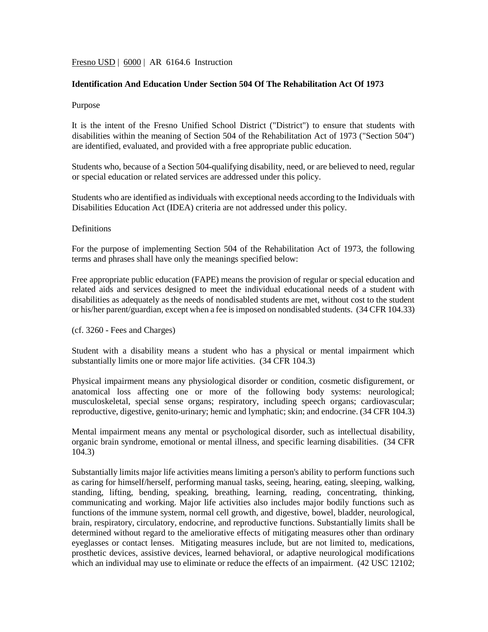## Fresno USD | 6000 | AR 6164.6 Instruction

## **Identification And Education Under Section 504 Of The Rehabilitation Act Of 1973**

#### Purpose

It is the intent of the Fresno Unified School District ("District") to ensure that students with disabilities within the meaning of Section 504 of the Rehabilitation Act of 1973 ("Section 504") are identified, evaluated, and provided with a free appropriate public education.

Students who, because of a Section 504-qualifying disability, need, or are believed to need, regular or special education or related services are addressed under this policy.

Students who are identified as individuals with exceptional needs according to the Individuals with Disabilities Education Act (IDEA) criteria are not addressed under this policy.

## Definitions

For the purpose of implementing Section 504 of the Rehabilitation Act of 1973, the following terms and phrases shall have only the meanings specified below:

Free appropriate public education (FAPE) means the provision of regular or special education and related aids and services designed to meet the individual educational needs of a student with disabilities as adequately as the needs of nondisabled students are met, without cost to the student or his/her parent/guardian, except when a fee is imposed on nondisabled students. (34 CFR 104.33)

#### (cf. 3260 - Fees and Charges)

Student with a disability means a student who has a physical or mental impairment which substantially limits one or more major life activities. (34 CFR 104.3)

Physical impairment means any physiological disorder or condition, cosmetic disfigurement, or anatomical loss affecting one or more of the following body systems: neurological; musculoskeletal, special sense organs; respiratory, including speech organs; cardiovascular; reproductive, digestive, genito-urinary; hemic and lymphatic; skin; and endocrine. (34 CFR 104.3)

Mental impairment means any mental or psychological disorder, such as intellectual disability, organic brain syndrome, emotional or mental illness, and specific learning disabilities. (34 CFR 104.3)

Substantially limits major life activities means limiting a person's ability to perform functions such as caring for himself/herself, performing manual tasks, seeing, hearing, eating, sleeping, walking, standing, lifting, bending, speaking, breathing, learning, reading, concentrating, thinking, communicating and working. Major life activities also includes major bodily functions such as functions of the immune system, normal cell growth, and digestive, bowel, bladder, neurological, brain, respiratory, circulatory, endocrine, and reproductive functions. Substantially limits shall be determined without regard to the ameliorative effects of mitigating measures other than ordinary eyeglasses or contact lenses. Mitigating measures include, but are not limited to, medications, prosthetic devices, assistive devices, learned behavioral, or adaptive neurological modifications which an individual may use to eliminate or reduce the effects of an impairment.  $(42 \text{ USC } 12102)$ ;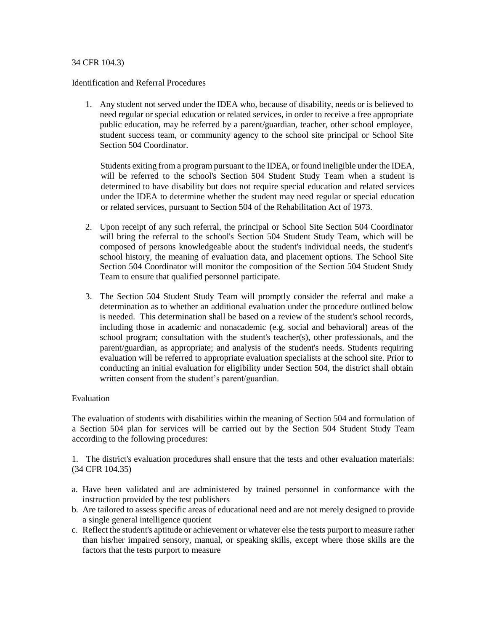## 34 CFR 104.3)

Identification and Referral Procedures

1. Any student not served under the IDEA who, because of disability, needs or is believed to need regular or special education or related services, in order to receive a free appropriate public education, may be referred by a parent/guardian, teacher, other school employee, student success team, or community agency to the school site principal or School Site Section 504 Coordinator.

Students exiting from a program pursuant to the IDEA, or found ineligible under the IDEA, will be referred to the school's Section 504 Student Study Team when a student is determined to have disability but does not require special education and related services under the IDEA to determine whether the student may need regular or special education or related services, pursuant to Section 504 of the Rehabilitation Act of 1973.

- 2. Upon receipt of any such referral, the principal or School Site Section 504 Coordinator will bring the referral to the school's Section 504 Student Study Team, which will be composed of persons knowledgeable about the student's individual needs, the student's school history, the meaning of evaluation data, and placement options. The School Site Section 504 Coordinator will monitor the composition of the Section 504 Student Study Team to ensure that qualified personnel participate.
- 3. The Section 504 Student Study Team will promptly consider the referral and make a determination as to whether an additional evaluation under the procedure outlined below is needed. This determination shall be based on a review of the student's school records, including those in academic and nonacademic (e.g. social and behavioral) areas of the school program; consultation with the student's teacher(s), other professionals, and the parent/guardian, as appropriate; and analysis of the student's needs. Students requiring evaluation will be referred to appropriate evaluation specialists at the school site. Prior to conducting an initial evaluation for eligibility under Section 504, the district shall obtain written consent from the student's parent/guardian.

#### Evaluation

The evaluation of students with disabilities within the meaning of Section 504 and formulation of a Section 504 plan for services will be carried out by the Section 504 Student Study Team according to the following procedures:

1. The district's evaluation procedures shall ensure that the tests and other evaluation materials: (34 CFR 104.35)

- a. Have been validated and are administered by trained personnel in conformance with the instruction provided by the test publishers
- b. Are tailored to assess specific areas of educational need and are not merely designed to provide a single general intelligence quotient
- c. Reflect the student's aptitude or achievement or whatever else the tests purport to measure rather than his/her impaired sensory, manual, or speaking skills, except where those skills are the factors that the tests purport to measure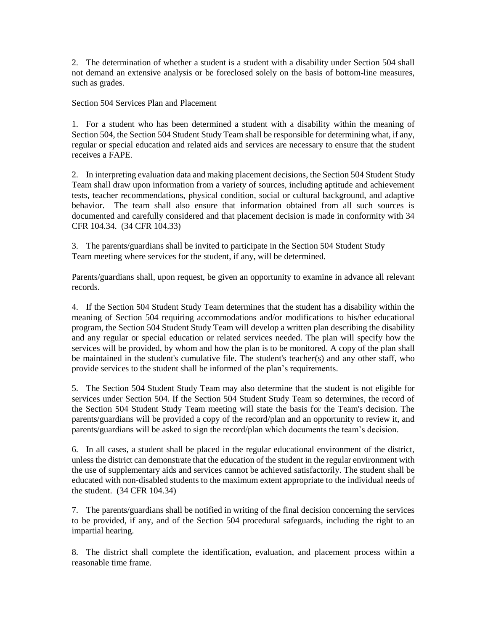2. The determination of whether a student is a student with a disability under Section 504 shall not demand an extensive analysis or be foreclosed solely on the basis of bottom-line measures, such as grades.

Section 504 Services Plan and Placement

1. For a student who has been determined a student with a disability within the meaning of Section 504, the Section 504 Student Study Team shall be responsible for determining what, if any, regular or special education and related aids and services are necessary to ensure that the student receives a FAPE.

2. In interpreting evaluation data and making placement decisions, the Section 504 Student Study Team shall draw upon information from a variety of sources, including aptitude and achievement tests, teacher recommendations, physical condition, social or cultural background, and adaptive behavior. The team shall also ensure that information obtained from all such sources is documented and carefully considered and that placement decision is made in conformity with 34 CFR 104.34. (34 CFR 104.33)

3. The parents/guardians shall be invited to participate in the Section 504 Student Study Team meeting where services for the student, if any, will be determined.

Parents/guardians shall, upon request, be given an opportunity to examine in advance all relevant records.

4. If the Section 504 Student Study Team determines that the student has a disability within the meaning of Section 504 requiring accommodations and/or modifications to his/her educational program, the Section 504 Student Study Team will develop a written plan describing the disability and any regular or special education or related services needed. The plan will specify how the services will be provided, by whom and how the plan is to be monitored. A copy of the plan shall be maintained in the student's cumulative file. The student's teacher(s) and any other staff, who provide services to the student shall be informed of the plan's requirements.

5. The Section 504 Student Study Team may also determine that the student is not eligible for services under Section 504. If the Section 504 Student Study Team so determines, the record of the Section 504 Student Study Team meeting will state the basis for the Team's decision. The parents/guardians will be provided a copy of the record/plan and an opportunity to review it, and parents/guardians will be asked to sign the record/plan which documents the team's decision.

6. In all cases, a student shall be placed in the regular educational environment of the district, unless the district can demonstrate that the education of the student in the regular environment with the use of supplementary aids and services cannot be achieved satisfactorily. The student shall be educated with non-disabled students to the maximum extent appropriate to the individual needs of the student. (34 CFR 104.34)

7. The parents/guardians shall be notified in writing of the final decision concerning the services to be provided, if any, and of the Section 504 procedural safeguards, including the right to an impartial hearing.

8. The district shall complete the identification, evaluation, and placement process within a reasonable time frame.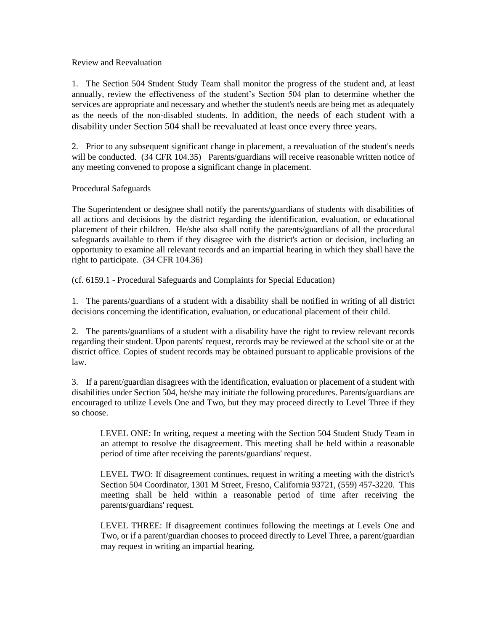## Review and Reevaluation

1. The Section 504 Student Study Team shall monitor the progress of the student and, at least annually, review the effectiveness of the student's Section 504 plan to determine whether the services are appropriate and necessary and whether the student's needs are being met as adequately as the needs of the non-disabled students. In addition, the needs of each student with a disability under Section 504 shall be reevaluated at least once every three years.

2. Prior to any subsequent significant change in placement, a reevaluation of the student's needs will be conducted. (34 CFR 104.35) Parents/guardians will receive reasonable written notice of any meeting convened to propose a significant change in placement.

## Procedural Safeguards

The Superintendent or designee shall notify the parents/guardians of students with disabilities of all actions and decisions by the district regarding the identification, evaluation, or educational placement of their children. He/she also shall notify the parents/guardians of all the procedural safeguards available to them if they disagree with the district's action or decision, including an opportunity to examine all relevant records and an impartial hearing in which they shall have the right to participate. (34 CFR 104.36)

(cf. 6159.1 - Procedural Safeguards and Complaints for Special Education)

1. The parents/guardians of a student with a disability shall be notified in writing of all district decisions concerning the identification, evaluation, or educational placement of their child.

2. The parents/guardians of a student with a disability have the right to review relevant records regarding their student. Upon parents' request, records may be reviewed at the school site or at the district office. Copies of student records may be obtained pursuant to applicable provisions of the law.

3. If a parent/guardian disagrees with the identification, evaluation or placement of a student with disabilities under Section 504, he/she may initiate the following procedures. Parents/guardians are encouraged to utilize Levels One and Two, but they may proceed directly to Level Three if they so choose.

LEVEL ONE: In writing, request a meeting with the Section 504 Student Study Team in an attempt to resolve the disagreement. This meeting shall be held within a reasonable period of time after receiving the parents/guardians' request.

LEVEL TWO: If disagreement continues, request in writing a meeting with the district's Section 504 Coordinator, 1301 M Street, Fresno, California 93721, (559) 457-3220. This meeting shall be held within a reasonable period of time after receiving the parents/guardians' request.

LEVEL THREE: If disagreement continues following the meetings at Levels One and Two, or if a parent/guardian chooses to proceed directly to Level Three, a parent/guardian may request in writing an impartial hearing.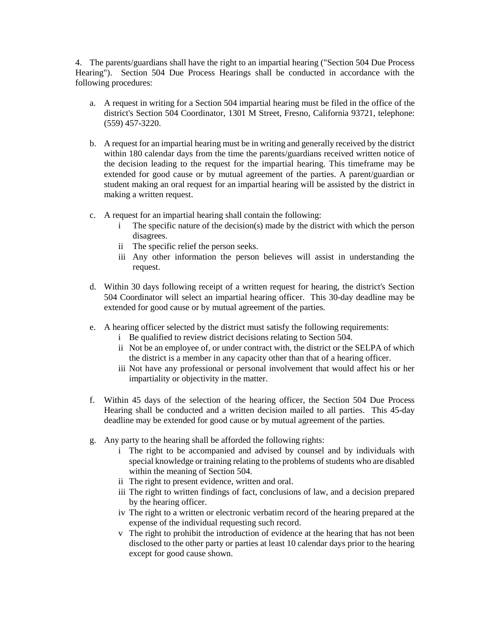4. The parents/guardians shall have the right to an impartial hearing ("Section 504 Due Process Hearing"). Section 504 Due Process Hearings shall be conducted in accordance with the following procedures:

- a. A request in writing for a Section 504 impartial hearing must be filed in the office of the district's Section 504 Coordinator, 1301 M Street, Fresno, California 93721, telephone: (559) 457-3220.
- b. A request for an impartial hearing must be in writing and generally received by the district within 180 calendar days from the time the parents/guardians received written notice of the decision leading to the request for the impartial hearing. This timeframe may be extended for good cause or by mutual agreement of the parties. A parent/guardian or student making an oral request for an impartial hearing will be assisted by the district in making a written request.
- c. A request for an impartial hearing shall contain the following:
	- The specific nature of the decision(s) made by the district with which the person disagrees.
	- ii The specific relief the person seeks.
	- iii Any other information the person believes will assist in understanding the request.
- d. Within 30 days following receipt of a written request for hearing, the district's Section 504 Coordinator will select an impartial hearing officer. This 30-day deadline may be extended for good cause or by mutual agreement of the parties.
- e. A hearing officer selected by the district must satisfy the following requirements:
	- i Be qualified to review district decisions relating to Section 504.
	- ii Not be an employee of, or under contract with, the district or the SELPA of which the district is a member in any capacity other than that of a hearing officer.
	- iii Not have any professional or personal involvement that would affect his or her impartiality or objectivity in the matter.
- f. Within 45 days of the selection of the hearing officer, the Section 504 Due Process Hearing shall be conducted and a written decision mailed to all parties. This 45-day deadline may be extended for good cause or by mutual agreement of the parties.
- g. Any party to the hearing shall be afforded the following rights:
	- i The right to be accompanied and advised by counsel and by individuals with special knowledge or training relating to the problems of students who are disabled within the meaning of Section 504.
	- ii The right to present evidence, written and oral.
	- iii The right to written findings of fact, conclusions of law, and a decision prepared by the hearing officer.
	- iv The right to a written or electronic verbatim record of the hearing prepared at the expense of the individual requesting such record.
	- v The right to prohibit the introduction of evidence at the hearing that has not been disclosed to the other party or parties at least 10 calendar days prior to the hearing except for good cause shown.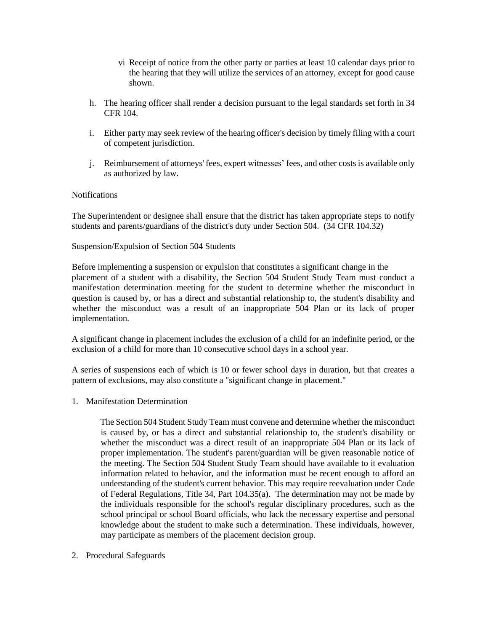- vi Receipt of notice from the other party or parties at least 10 calendar days prior to the hearing that they will utilize the services of an attorney, except for good cause shown.
- h. The hearing officer shall render a decision pursuant to the legal standards set forth in 34 CFR 104.
- i. Either party may seek review of the hearing officer's decision by timely filing with a court of competent jurisdiction.
- j. Reimbursement of attorneys' fees, expert witnesses' fees, and other costs is available only as authorized by law.

## **Notifications**

The Superintendent or designee shall ensure that the district has taken appropriate steps to notify students and parents/guardians of the district's duty under Section 504. (34 CFR 104.32)

# Suspension/Expulsion of Section 504 Students

Before implementing a suspension or expulsion that constitutes a significant change in the placement of a student with a disability, the Section 504 Student Study Team must conduct a manifestation determination meeting for the student to determine whether the misconduct in question is caused by, or has a direct and substantial relationship to, the student's disability and whether the misconduct was a result of an inappropriate 504 Plan or its lack of proper implementation.

A significant change in placement includes the exclusion of a child for an indefinite period, or the exclusion of a child for more than 10 consecutive school days in a school year.

A series of suspensions each of which is 10 or fewer school days in duration, but that creates a pattern of exclusions, may also constitute a "significant change in placement."

1. Manifestation Determination

The Section 504 Student Study Team must convene and determine whether the misconduct is caused by, or has a direct and substantial relationship to, the student's disability or whether the misconduct was a direct result of an inappropriate 504 Plan or its lack of proper implementation. The student's parent/guardian will be given reasonable notice of the meeting. The Section 504 Student Study Team should have available to it evaluation information related to behavior, and the information must be recent enough to afford an understanding of the student's current behavior. This may require reevaluation under Code of Federal Regulations, Title 34, Part 104.35(a). The determination may not be made by the individuals responsible for the school's regular disciplinary procedures, such as the school principal or school Board officials, who lack the necessary expertise and personal knowledge about the student to make such a determination. These individuals, however, may participate as members of the placement decision group.

2. Procedural Safeguards